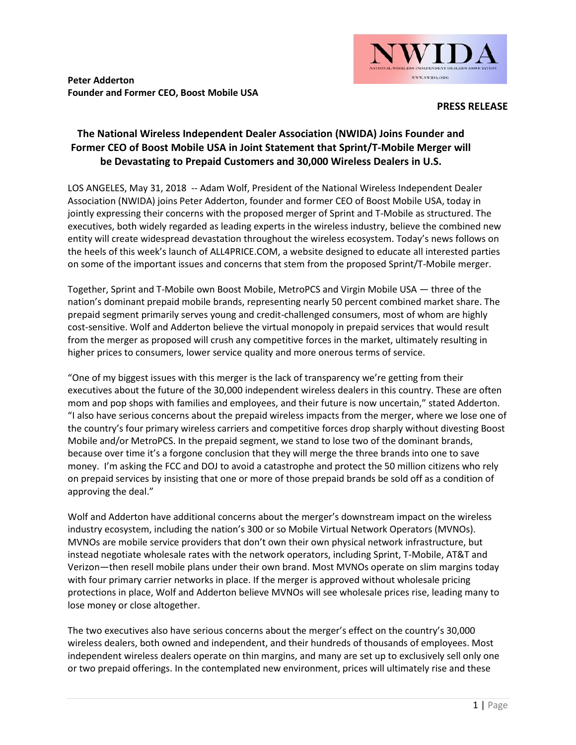

**Peter Adderton Founder and Former CEO, Boost Mobile USA**

## **PRESS RELEASE**

## **The National Wireless Independent Dealer Association (NWIDA) Joins Founder and Former CEO of Boost Mobile USA in Joint Statement that Sprint/T-Mobile Merger will be Devastating to Prepaid Customers and 30,000 Wireless Dealers in U.S.**

LOS ANGELES, May 31, 2018 -- Adam Wolf, President of the National Wireless Independent Dealer Association (NWIDA) joins Peter Adderton, founder and former CEO of Boost Mobile USA, today in jointly expressing their concerns with the proposed merger of Sprint and T-Mobile as structured. The executives, both widely regarded as leading experts in the wireless industry, believe the combined new entity will create widespread devastation throughout the wireless ecosystem. Today's news follows on the heels of this week's launch of ALL4PRICE.COM, a website designed to educate all interested parties on some of the important issues and concerns that stem from the proposed Sprint/T-Mobile merger.

Together, Sprint and T-Mobile own Boost Mobile, MetroPCS and Virgin Mobile USA — three of the nation's dominant prepaid mobile brands, representing nearly 50 percent combined market share. The prepaid segment primarily serves young and credit-challenged consumers, most of whom are highly cost-sensitive. Wolf and Adderton believe the virtual monopoly in prepaid services that would result from the merger as proposed will crush any competitive forces in the market, ultimately resulting in higher prices to consumers, lower service quality and more onerous terms of service.

"One of my biggest issues with this merger is the lack of transparency we're getting from their executives about the future of the 30,000 independent wireless dealers in this country. These are often mom and pop shops with families and employees, and their future is now uncertain," stated Adderton. "I also have serious concerns about the prepaid wireless impacts from the merger, where we lose one of the country's four primary wireless carriers and competitive forces drop sharply without divesting Boost Mobile and/or MetroPCS. In the prepaid segment, we stand to lose two of the dominant brands, because over time it's a forgone conclusion that they will merge the three brands into one to save money. I'm asking the FCC and DOJ to avoid a catastrophe and protect the 50 million citizens who rely on prepaid services by insisting that one or more of those prepaid brands be sold off as a condition of approving the deal."

Wolf and Adderton have additional concerns about the merger's downstream impact on the wireless industry ecosystem, including the nation's 300 or so Mobile Virtual Network Operators (MVNOs). MVNOs are mobile service providers that don't own their own physical network infrastructure, but instead negotiate wholesale rates with the network operators, including Sprint, T-Mobile, AT&T and Verizon—then resell mobile plans under their own brand. Most MVNOs operate on slim margins today with four primary carrier networks in place. If the merger is approved without wholesale pricing protections in place, Wolf and Adderton believe MVNOs will see wholesale prices rise, leading many to lose money or close altogether.

The two executives also have serious concerns about the merger's effect on the country's 30,000 wireless dealers, both owned and independent, and their hundreds of thousands of employees. Most independent wireless dealers operate on thin margins, and many are set up to exclusively sell only one or two prepaid offerings. In the contemplated new environment, prices will ultimately rise and these